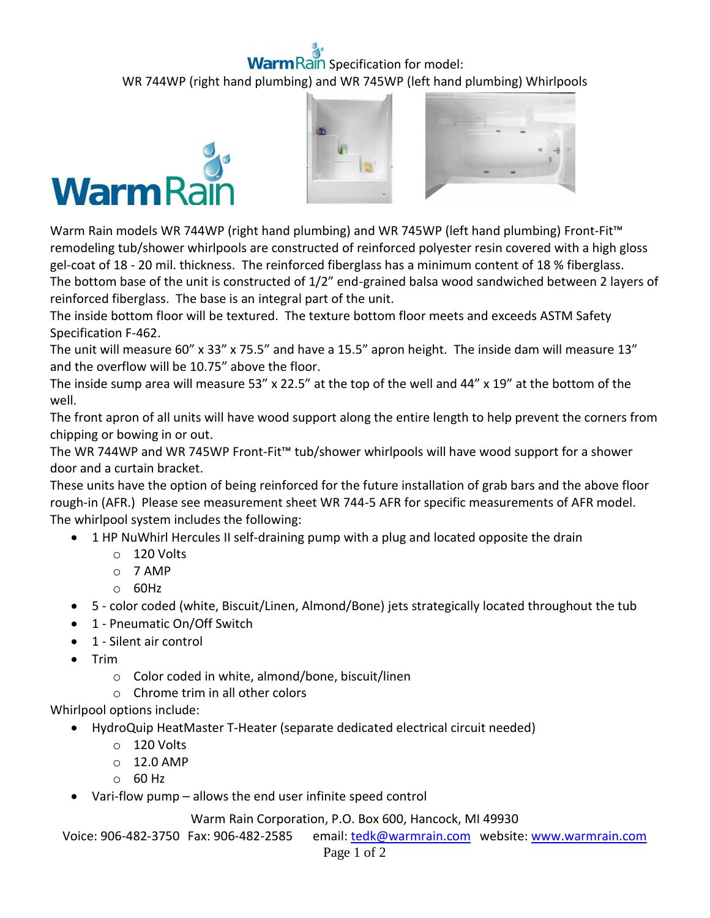## ain Specification for model: WR 744WP (right hand plumbing) and WR 745WP (left hand plumbing) Whirlpools







Warm Rain models WR 744WP (right hand plumbing) and WR 745WP (left hand plumbing) Front-Fit™ remodeling tub/shower whirlpools are constructed of reinforced polyester resin covered with a high gloss gel-coat of 18 - 20 mil. thickness. The reinforced fiberglass has a minimum content of 18 % fiberglass. The bottom base of the unit is constructed of 1/2" end-grained balsa wood sandwiched between 2 layers of reinforced fiberglass. The base is an integral part of the unit.

The inside bottom floor will be textured. The texture bottom floor meets and exceeds ASTM Safety Specification F-462.

The unit will measure 60" x 33" x 75.5" and have a 15.5" apron height. The inside dam will measure 13" and the overflow will be 10.75" above the floor.

The inside sump area will measure 53" x 22.5" at the top of the well and 44" x 19" at the bottom of the well.

The front apron of all units will have wood support along the entire length to help prevent the corners from chipping or bowing in or out.

The WR 744WP and WR 745WP Front-Fit™ tub/shower whirlpools will have wood support for a shower door and a curtain bracket.

These units have the option of being reinforced for the future installation of grab bars and the above floor rough-in (AFR.) Please see measurement sheet WR 744-5 AFR for specific measurements of AFR model. The whirlpool system includes the following:

- 1 HP NuWhirl Hercules II self-draining pump with a plug and located opposite the drain
	- o 120 Volts
	- o 7 AMP
	- o 60Hz
- 5 color coded (white, Biscuit/Linen, Almond/Bone) jets strategically located throughout the tub
- 1 Pneumatic On/Off Switch
- 1 Silent air control
- $\bullet$  Trim
	- o Color coded in white, almond/bone, biscuit/linen
	- o Chrome trim in all other colors

Whirlpool options include:

- HydroQuip HeatMaster T-Heater (separate dedicated electrical circuit needed)
	- o 120 Volts
	- o 12.0 AMP
	- o 60 Hz
- Vari-flow pump allows the end user infinite speed control

Warm Rain Corporation, P.O. Box 600, Hancock, MI 49930

Voice: 906-482-3750 Fax: 906-482-2585 email[: tedk@warmrain.com](mailto:tedk@warmrain.com) website: [www.warmrain.com](http://www.warmrain.com/)